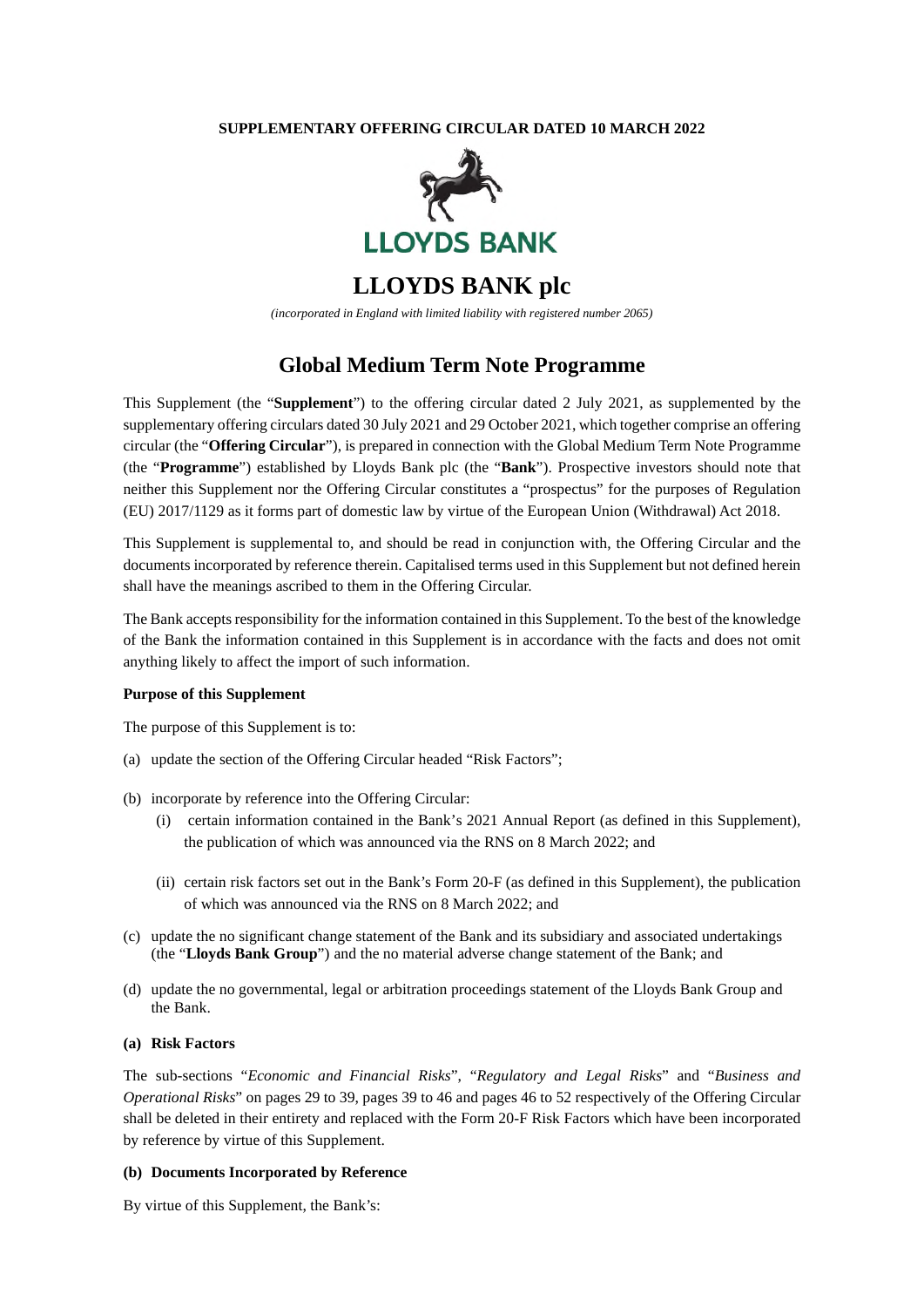#### **SUPPLEMENTARY OFFERING CIRCULAR DATED 10 MARCH 2022**



# **LLOYDS BANK plc**

*(incorporated in England with limited liability with registered number 2065)* 

## **Global Medium Term Note Programme**

This Supplement (the "**Supplement**") to the offering circular dated 2 July 2021, as supplemented by the supplementary offering circulars dated 30 July 2021 and 29 October 2021, which together comprise an offering circular (the "**Offering Circular**"), is prepared in connection with the Global Medium Term Note Programme (the "**Programme**") established by Lloyds Bank plc (the "**Bank**"). Prospective investors should note that neither this Supplement nor the Offering Circular constitutes a "prospectus" for the purposes of Regulation (EU) 2017/1129 as it forms part of domestic law by virtue of the European Union (Withdrawal) Act 2018.

This Supplement is supplemental to, and should be read in conjunction with, the Offering Circular and the documents incorporated by reference therein. Capitalised terms used in this Supplement but not defined herein shall have the meanings ascribed to them in the Offering Circular.

The Bank accepts responsibility for the information contained in this Supplement. To the best of the knowledge of the Bank the information contained in this Supplement is in accordance with the facts and does not omit anything likely to affect the import of such information.

#### **Purpose of this Supplement**

The purpose of this Supplement is to:

- (a) update the section of the Offering Circular headed "Risk Factors";
- (b) incorporate by reference into the Offering Circular:
	- (i) certain information contained in the Bank's 2021 Annual Report (as defined in this Supplement), the publication of which was announced via the RNS on 8 March 2022; and
	- (ii) certain risk factors set out in the Bank's Form 20-F (as defined in this Supplement), the publication of which was announced via the RNS on 8 March 2022; and
- (c) update the no significant change statement of the Bank and its subsidiary and associated undertakings (the "**Lloyds Bank Group**") and the no material adverse change statement of the Bank; and
- (d) update the no governmental, legal or arbitration proceedings statement of the Lloyds Bank Group and the Bank.

#### **(a) Risk Factors**

The sub-sections "*Economic and Financial Risks*", "*Regulatory and Legal Risks*" and "*Business and Operational Risks*" on pages 29 to 39, pages 39 to 46 and pages 46 to 52 respectively of the Offering Circular shall be deleted in their entirety and replaced with the Form 20-F Risk Factors which have been incorporated by reference by virtue of this Supplement.

#### **(b) Documents Incorporated by Reference**

By virtue of this Supplement, the Bank's: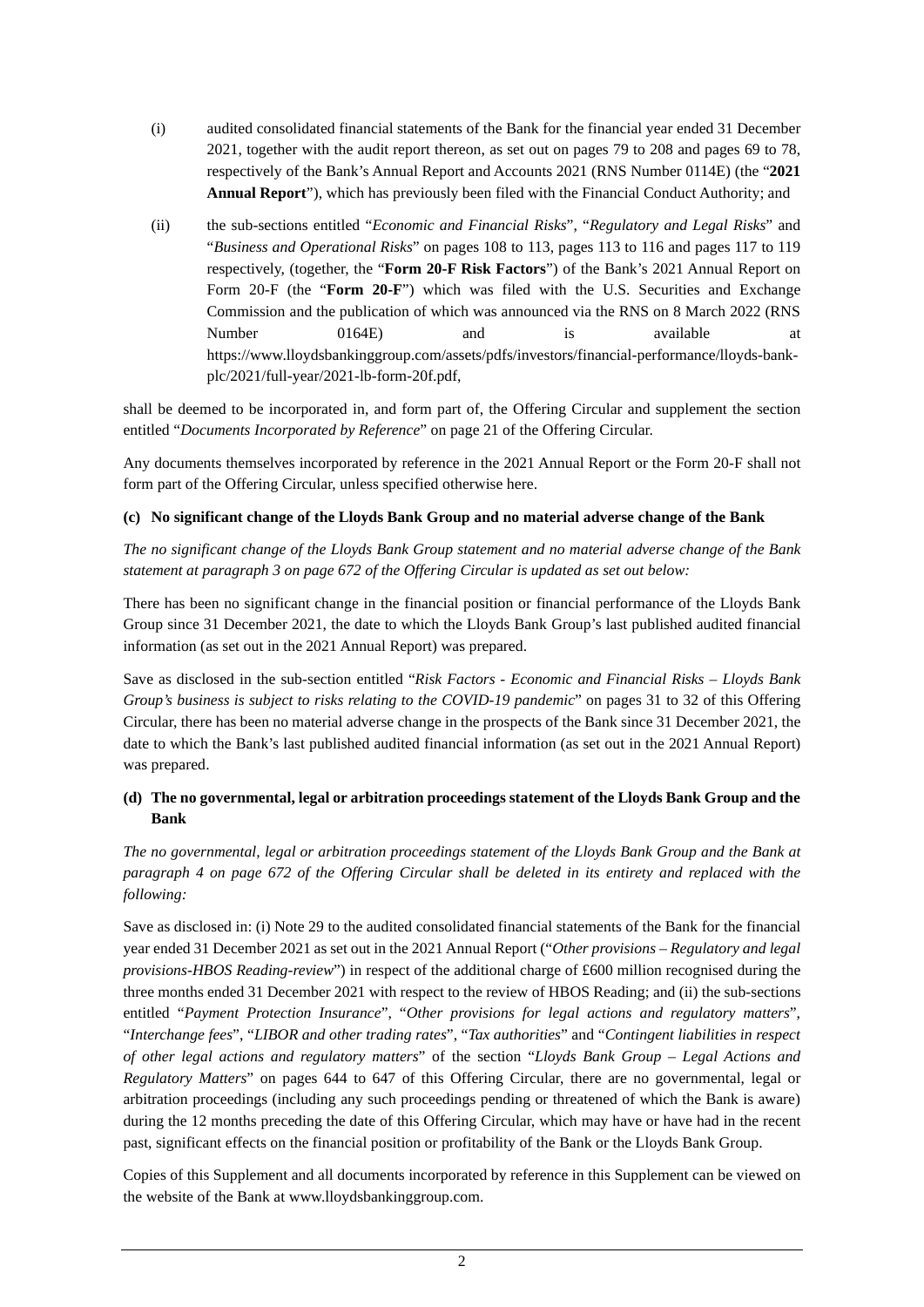- (i) audited consolidated financial statements of the Bank for the financial year ended 31 December 2021, together with the audit report thereon, as set out on pages 79 to 208 and pages 69 to 78, respectively of the Bank's Annual Report and Accounts 2021 (RNS Number 0114E) (the "**2021 Annual Report**"), which has previously been filed with the Financial Conduct Authority; and
- (ii) the sub-sections entitled "*Economic and Financial Risks*", "*Regulatory and Legal Risks*" and "*Business and Operational Risks*" on pages 108 to 113, pages 113 to 116 and pages 117 to 119 respectively, (together, the "**Form 20-F Risk Factors**") of the Bank's 2021 Annual Report on Form 20-F (the "**Form 20-F**") which was filed with the U.S. Securities and Exchange Commission and the publication of which was announced via the RNS on 8 March 2022 (RNS Number 0164E) and is available at https://www.lloydsbankinggroup.com/assets/pdfs/investors/financial-performance/lloyds-bankplc/2021/full-year/2021-lb-form-20f.pdf,

shall be deemed to be incorporated in, and form part of, the Offering Circular and supplement the section entitled "*Documents Incorporated by Reference*" on page 21 of the Offering Circular.

Any documents themselves incorporated by reference in the 2021 Annual Report or the Form 20-F shall not form part of the Offering Circular, unless specified otherwise here.

### **(c) No significant change of the Lloyds Bank Group and no material adverse change of the Bank**

*The no significant change of the Lloyds Bank Group statement and no material adverse change of the Bank statement at paragraph 3 on page 672 of the Offering Circular is updated as set out below:*

There has been no significant change in the financial position or financial performance of the Lloyds Bank Group since 31 December 2021, the date to which the Lloyds Bank Group's last published audited financial information (as set out in the 2021 Annual Report) was prepared.

Save as disclosed in the sub-section entitled "*Risk Factors - Economic and Financial Risks – Lloyds Bank Group's business is subject to risks relating to the COVID-19 pandemic*" on pages 31 to 32 of this Offering Circular, there has been no material adverse change in the prospects of the Bank since 31 December 2021, the date to which the Bank's last published audited financial information (as set out in the 2021 Annual Report) was prepared.

## **(d) The no governmental, legal or arbitration proceedings statement of the Lloyds Bank Group and the Bank**

*The no governmental, legal or arbitration proceedings statement of the Lloyds Bank Group and the Bank at paragraph 4 on page 672 of the Offering Circular shall be deleted in its entirety and replaced with the following:* 

Save as disclosed in: (i) Note 29 to the audited consolidated financial statements of the Bank for the financial year ended 31 December 2021 as set out in the 2021 Annual Report ("*Other provisions – Regulatory and legal provisions-HBOS Reading-review*") in respect of the additional charge of £600 million recognised during the three months ended 31 December 2021 with respect to the review of HBOS Reading; and (ii) the sub-sections entitled "*Payment Protection Insurance*", "*Other provisions for legal actions and regulatory matters*", "*Interchange fees*", "*LIBOR and other trading rates*", "*Tax authorities*" and "*Contingent liabilities in respect of other legal actions and regulatory matters*" of the section "*Lloyds Bank Group – Legal Actions and Regulatory Matters*" on pages 644 to 647 of this Offering Circular, there are no governmental, legal or arbitration proceedings (including any such proceedings pending or threatened of which the Bank is aware) during the 12 months preceding the date of this Offering Circular, which may have or have had in the recent past, significant effects on the financial position or profitability of the Bank or the Lloyds Bank Group.

Copies of this Supplement and all documents incorporated by reference in this Supplement can be viewed on the website of the Bank at www.lloydsbankinggroup.com.